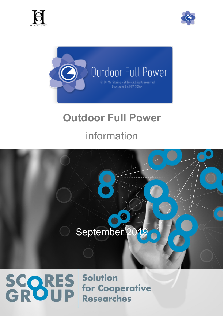

SCORES





# **Outdoor Full Power** information



**Solution** 

**Researches** 

for Cooperative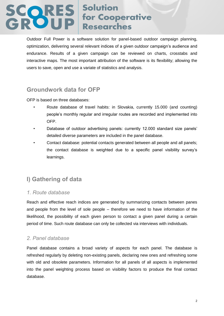Outdoor Full Power is a software solution for panel-based outdoor campaign planning, optimization, delivering several relevant indices of a given outdoor campaign's audience and endurance. Results of a given campaign can be reviewed on charts, crosstabs and interactive maps. The most important attribution of the software is its flexibility; allowing the users to save, open and use a variate of statistics and analysis.

## **Groundwork data for OFP**

OFP is based on three databases:

- Route database of travel habits: in Slovakia, currently 15.000 (and counting) people's monthly regular and irregular routes are recorded and implemented into OFP.
- Database of outdoor advertising panels: currently 12.000 standard size panels' detailed diverse parameters are included in the panel database.
- Contact database: potential contacts generated between all people and all panels; the contact database is weighted due to a specific panel visibility survey's learnings.

## **I) Gathering of data**

#### *1. Route database*

Reach and effective reach indices are generated by summarizing contacts between panes and people from the level of sole people – therefore we need to have information of the likelihood, the possibility of each given person to contact a given panel during a certain period of time. Such route database can only be collected via interviews with individuals.

#### *2. Panel database*

Panel database contains a broad variety of aspects for each panel. The database is refreshed regularly by deleting non-existing panels, declaring new ones and refreshing some with old and obsolete parameters. Information for all panels of all aspects is implemented into the panel weighting process based on visibility factors to produce the final contact database.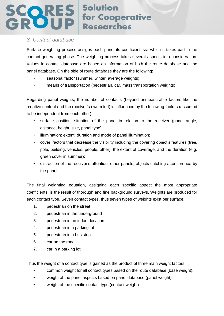#### *3. Contact database*

Surface weighting process assigns each panel its coefficient, via which it takes part in the contact generating phase. The weighting process takes several aspects into consideration. Values in contact database are based on information of both the route database and the panel database. On the side of route database they are the following:

- seasonal factor (summer, winter, average weights);
- means of transportation (pedestrian, car, mass transportation weights).

Regarding panel weights, the number of contacts (beyond unmeasurable factors like the creative content and the receiver's own mind) is influenced by the following factors (assumed to be independent from each other):

- surface position: situation of the panel in relation to the receiver (panel angle, distance, height, size, panel type);
- illumination: extent, duration and mode of panel illumination;
- cover: factors that decrease the visibility including the covering object's features (tree, pole, building, vehicles, people, other), the extent of coverage, and the duration (e.g. green cover in summer);
- distraction of the receiver's attention: other panels, objects catching attention nearby the panel.

The final weighting equation, assigning each specific aspect the most appropriate coefficients, is the result of thorough and fine background surveys. Weights are produced for each contact type. Seven contact types, thus seven types of weights exist per surface:

- 1. pedestrian on the street
- 2. pedestrian in the underground
- 3. pedestrian in an indoor location
- 4. pedestrian in a parking lot
- 5. pedestrian in a bus stop
- 6. car on the road
- 7. car in a parking lot

Thus the weight of a contact type is gained as the product of three main weight factors:

- common weight for all contact types based on the route database (base weight);
- weight of the panel aspects based on panel database (panel weight);
- weight of the specific contact type (contact weight).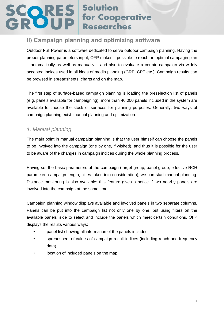### **II) Campaign planning and optimizing software**

Outdoor Full Power is a software dedicated to serve outdoor campaign planning. Having the proper planning parameters input, OFP makes it possible to reach an optimal campagin plan – automatically as well as manually – and also to evaluate a certain campaign via widely accepted indices used in all kinds of media planning (GRP, CPT etc.). Campaign results can be browsed in spreadsheets, charts and on the map.

The first step of surface-based campaign planning is loading the preselection list of panels (e.g. panels available for campaigning): more than 40.000 panels included in the system are available to choose the stock of surfaces for planning purposes. Generally, two ways of campaign planning exist: manual planning and optimization.

### *1. Manual planning*

The main point in manual campaign planning is that the user himself can choose the panels to be involved into the campaign (one by one, if wished), and thus it is possible for the user to be aware of the changes in campaign indices during the whole planning process.

Having set the basic parameters of the campaign (target group, panel group, effective RCH parameter, campaign length, cities taken into consideration), we can start manual planning. Distance monitoring is also available: this feature gives a notice if two nearby panels are involved into the campaign at the same time.

Campaign planning window displays available and involved panels in two separate columns. Panels can be put into the campaign list not only one by one, but using filters on the available panels' side to select and include the panels which meet certain conditions. OFP displays the results various ways:

- panel list showing all information of the panels included
- spreadsheet of values of campaign result indices (including reach and frequency data)
- location of included panels on the map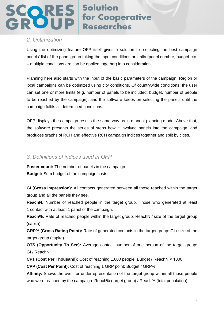#### *2. Optimization*

Using the optimizing feature OFP itself gives a solution for selecting the best campaign panels' list of the panel group taking the input conditions or limits (panel number, budget etc. – multiple conditions are can be applied together) into consideration.

Planning here also starts with the input of the basic parameters of the campaign. Region or local campaigns can be optimized using city conditions. Of countrywide conditions, the user can set one or more limits (e.g. number of panels to be included, budget, number of people to be reached by the campaign), and the software keeps on selecting the panels until the campaign fulfils all determined conditions.

OFP displays the campaign results the same way as in manual planning mode. Above that, the software presents the series of steps how it involved panels into the campaign, and produces graphs of RCH and effective RCH campaign indices together and split by cities.

#### *3. Definitions of indices used in OFP*

**Poster count:** The number of panels in the campaign. **Budget:** Sum budget of the campaign costs.

**GI (Gross Impression):** All contacts generated between all those reached within the target group and all the panels they see.

**ReachN:** Number of reached people in the target group. Those who generated at least 1 contact with at least 1 panel of the campaign.

**Reach%:** Rate of reached people within the target group: ReachN / size of the target group (capita).

**GRP% (Gross Rating Point):** Rate of generated contacts in the target group: GI / size of the target group (capita).

**OTS (Opportunity To See):** Average contact number of one person of the target group: GI / ReachN.

**CPT (Cost Per Thousand):** Cost of reaching 1.000 people: Budget / ReachN × 1000.

**CPP (Cost Per Point):** Cost of reaching 1 GRP point: Budget / GRP%.

**Affinity:** Shows the over- or underrepresentation of the target group within all those people who were reached by the campaign: Reach% (target group) / Reach% (total population).